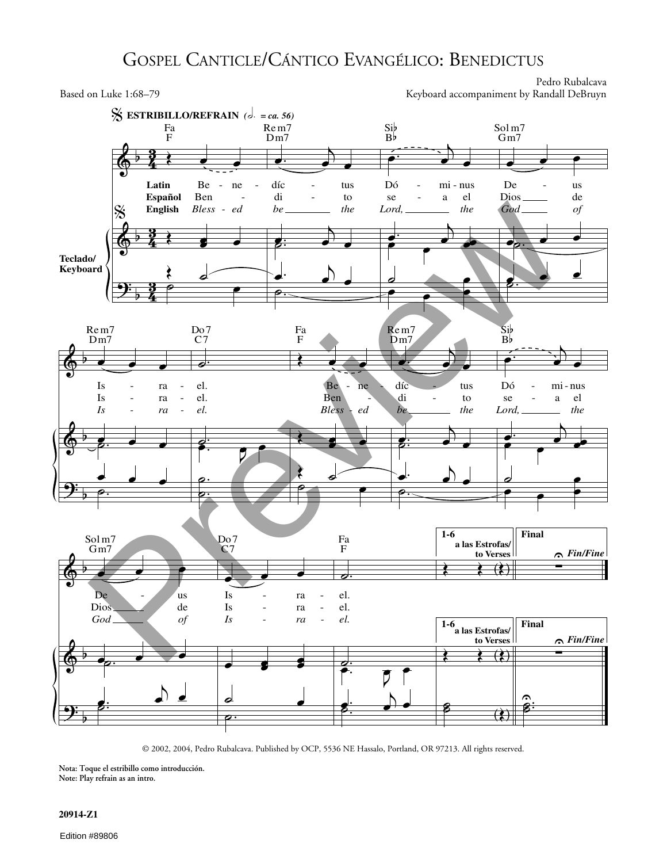## GOSPEL CANTICLE/CÁNTICO EVANGÉLICO: BENEDICTUS

Pedro Rubalcava Based on Luke 1:68–79 Keyboard accompaniment by Randall DeBruyn



 $\frac{1}{\pi}$  $\frac{1}{\pi}$ © 2002, 2004, Pedro Rubalcava. Published by OCP, 5536 NE Hassalo, Portland, OR 97213. All rights reserved.

**Nota: Toque el estribillo como introducción. Note: Play refrain as an intro.**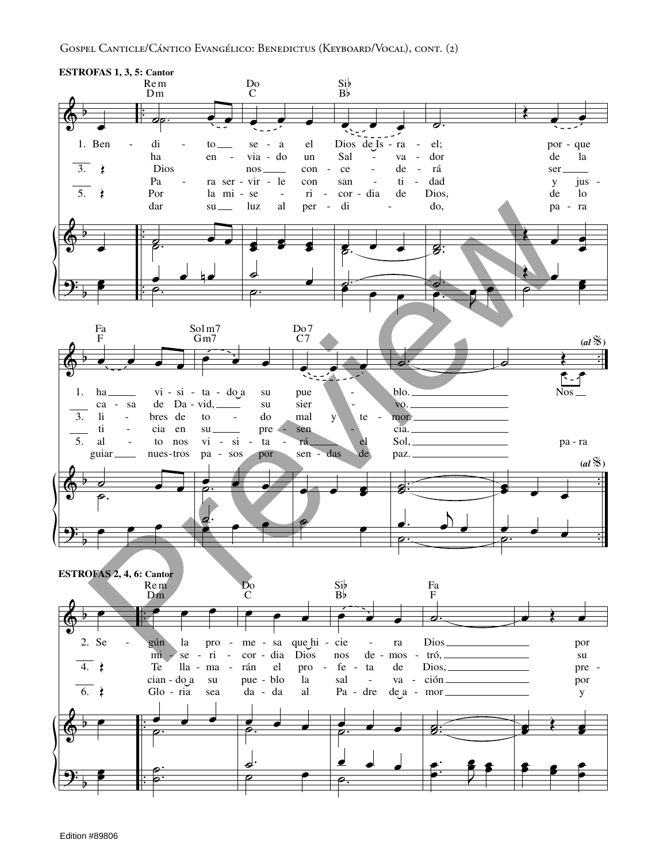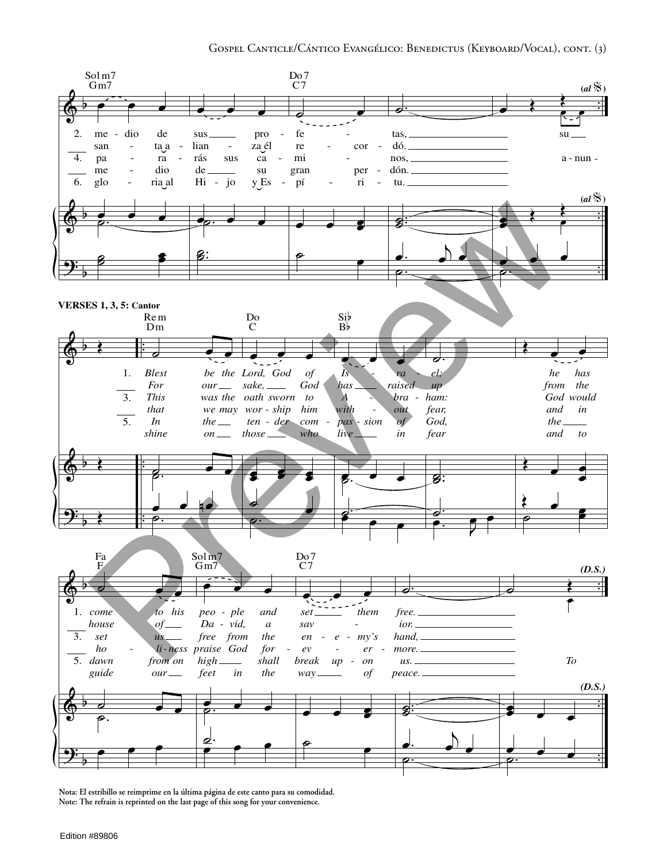

Nota: El estribillo se reimprime en la última página de este canto para su comodidad. Note: The refrain is reprinted on the last page of this song for your convenience.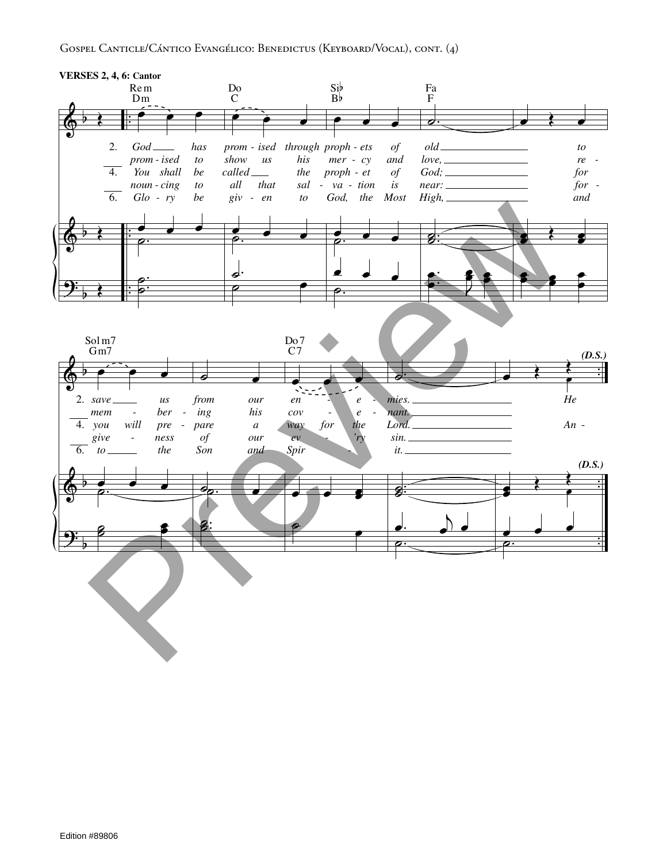## GOSPEL CANTICLE/CÁNTICO EVANGÉLICO: BENEDICTUS (KEYBOARD/VOCAL), CONT. (4)